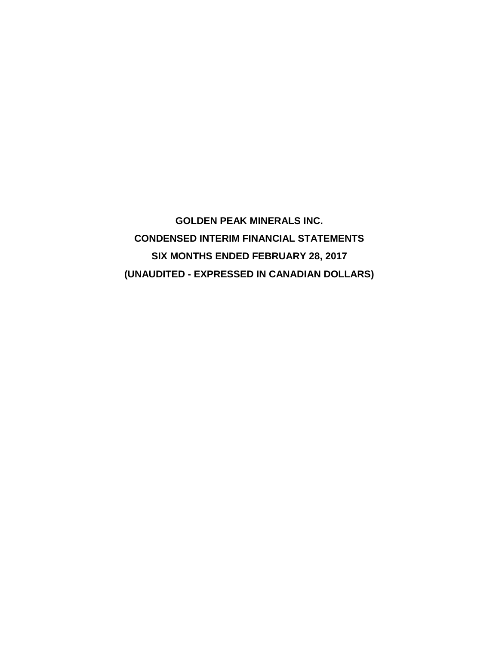**GOLDEN PEAK MINERALS INC. CONDENSED INTERIM FINANCIAL STATEMENTS SIX MONTHS ENDED FEBRUARY 28, 2017 (UNAUDITED - EXPRESSED IN CANADIAN DOLLARS)**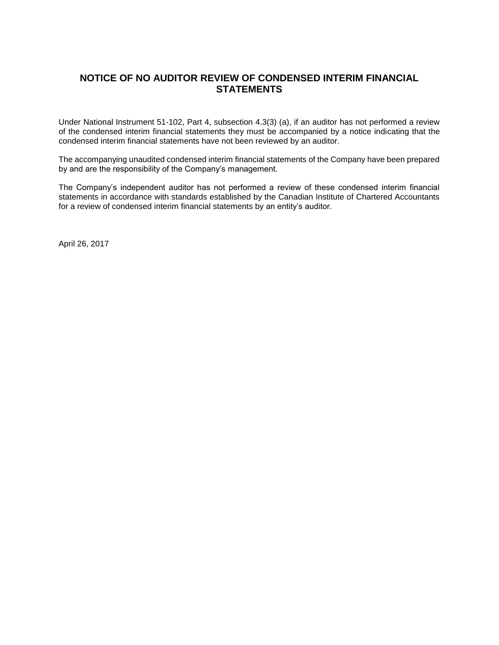# **NOTICE OF NO AUDITOR REVIEW OF CONDENSED INTERIM FINANCIAL STATEMENTS**

Under National Instrument 51-102, Part 4, subsection 4.3(3) (a), if an auditor has not performed a review of the condensed interim financial statements they must be accompanied by a notice indicating that the condensed interim financial statements have not been reviewed by an auditor.

The accompanying unaudited condensed interim financial statements of the Company have been prepared by and are the responsibility of the Company's management.

The Company's independent auditor has not performed a review of these condensed interim financial statements in accordance with standards established by the Canadian Institute of Chartered Accountants for a review of condensed interim financial statements by an entity's auditor.

April 26, 2017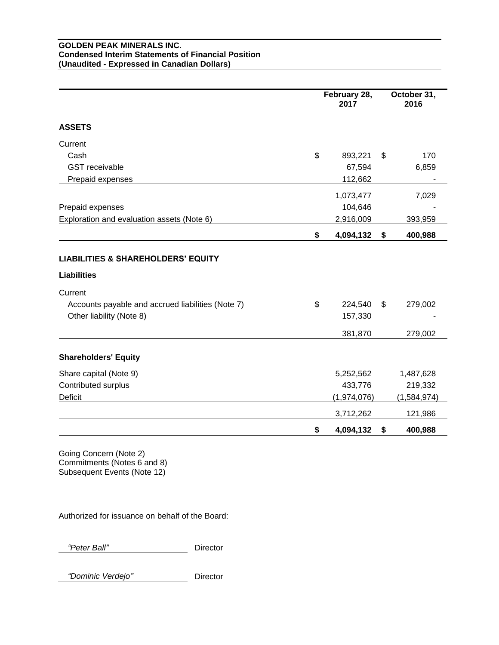### **GOLDEN PEAK MINERALS INC. Condensed Interim Statements of Financial Position (Unaudited - Expressed in Canadian Dollars)**

|                                                   | February 28,<br>2017 | October 31,<br>2016 |
|---------------------------------------------------|----------------------|---------------------|
| <b>ASSETS</b>                                     |                      |                     |
| Current                                           |                      |                     |
| Cash                                              | \$<br>893,221        | \$<br>170           |
| <b>GST</b> receivable                             | 67,594               | 6,859               |
| Prepaid expenses                                  | 112,662              |                     |
|                                                   | 1,073,477            | 7,029               |
| Prepaid expenses                                  | 104,646              |                     |
| Exploration and evaluation assets (Note 6)        | 2,916,009            | 393,959             |
|                                                   | \$<br>4,094,132      | \$<br>400,988       |
|                                                   |                      |                     |
| <b>LIABILITIES &amp; SHAREHOLDERS' EQUITY</b>     |                      |                     |
| <b>Liabilities</b>                                |                      |                     |
| Current                                           |                      |                     |
| Accounts payable and accrued liabilities (Note 7) | \$<br>224,540        | \$<br>279,002       |
| Other liability (Note 8)                          | 157,330              |                     |
|                                                   | 381,870              | 279,002             |
| <b>Shareholders' Equity</b>                       |                      |                     |
| Share capital (Note 9)                            | 5,252,562            | 1,487,628           |
| Contributed surplus                               | 433,776              | 219,332             |
| Deficit                                           | (1,974,076)          | (1,584,974)         |
|                                                   | 3,712,262            | 121,986             |
|                                                   | \$<br>4,094,132      | \$<br>400,988       |

Going Concern (Note 2) Commitments (Notes 6 and 8) Subsequent Events (Note 12)

Authorized for issuance on behalf of the Board:

 *"Peter Ball"* Director

 *"Dominic Verdejo"* Director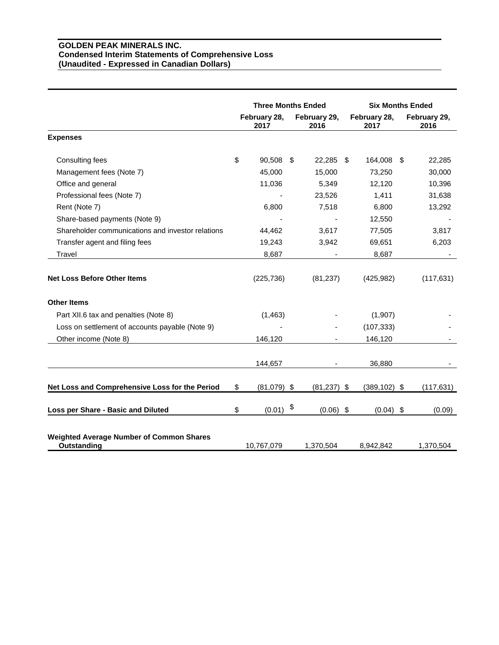### **GOLDEN PEAK MINERALS INC. Condensed Interim Statements of Comprehensive Loss (Unaudited - Expressed in Canadian Dollars)**

|                                                                       | <b>Three Months Ended</b> |                      | <b>Six Months Ended</b> |                      |  |                      |
|-----------------------------------------------------------------------|---------------------------|----------------------|-------------------------|----------------------|--|----------------------|
|                                                                       |                           | February 28,<br>2017 | February 29,<br>2016    | February 28,<br>2017 |  | February 29,<br>2016 |
| <b>Expenses</b>                                                       |                           |                      |                         |                      |  |                      |
| Consulting fees                                                       | \$                        | 90,508 \$            | 22,285 \$               | 164,008 \$           |  | 22,285               |
| Management fees (Note 7)                                              |                           | 45,000               | 15,000                  | 73,250               |  | 30,000               |
| Office and general                                                    |                           | 11,036               | 5,349                   | 12,120               |  | 10,396               |
| Professional fees (Note 7)                                            |                           |                      | 23,526                  | 1,411                |  | 31,638               |
| Rent (Note 7)                                                         |                           | 6,800                | 7,518                   | 6,800                |  | 13,292               |
| Share-based payments (Note 9)                                         |                           |                      |                         | 12,550               |  |                      |
| Shareholder communications and investor relations                     |                           | 44,462               | 3,617                   | 77,505               |  | 3,817                |
| Transfer agent and filing fees                                        |                           | 19,243               | 3,942                   | 69,651               |  | 6,203                |
| Travel                                                                |                           | 8,687                |                         | 8,687                |  |                      |
| <b>Net Loss Before Other Items</b>                                    |                           | (225, 736)           | (81, 237)               | (425, 982)           |  | (117, 631)           |
| <b>Other Items</b>                                                    |                           |                      |                         |                      |  |                      |
| Part XII.6 tax and penalties (Note 8)                                 |                           | (1,463)              |                         | (1,907)              |  |                      |
| Loss on settlement of accounts payable (Note 9)                       |                           |                      |                         | (107, 333)           |  |                      |
| Other income (Note 8)                                                 |                           | 146,120              |                         | 146,120              |  |                      |
|                                                                       |                           | 144,657              |                         | 36,880               |  |                      |
| Net Loss and Comprehensive Loss for the Period                        | \$                        | $(81,079)$ \$        | $(81,237)$ \$           | $(389, 102)$ \$      |  | (117, 631)           |
| Loss per Share - Basic and Diluted                                    | \$                        | (0.01)               | \$<br>$(0.06)$ \$       | $(0.04)$ \$          |  | (0.09)               |
| <b>Weighted Average Number of Common Shares</b><br><b>Outstanding</b> |                           | 10,767,079           | 1,370,504               | 8,942,842            |  | 1,370,504            |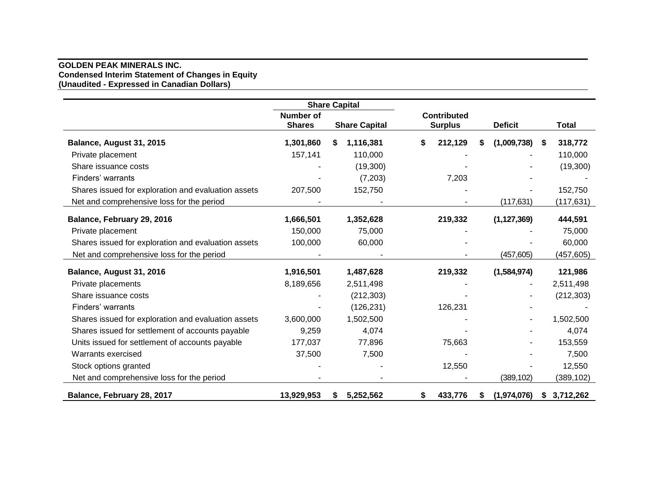#### **GOLDEN PEAK MINERALS INC. Condensed Interim Statement of Changes in Equity (Unaudited - Expressed in Canadian Dollars)**

|                                                     |                                   | <b>Share Capital</b> |                                      |                  |               |
|-----------------------------------------------------|-----------------------------------|----------------------|--------------------------------------|------------------|---------------|
|                                                     | <b>Number of</b><br><b>Shares</b> | <b>Share Capital</b> | <b>Contributed</b><br><b>Surplus</b> | <b>Deficit</b>   | <b>Total</b>  |
| Balance, August 31, 2015                            | 1,301,860                         | 1,116,381<br>S.      | \$<br>212,129                        | (1,009,738)<br>S | 318,772<br>\$ |
| Private placement                                   | 157,141                           | 110,000              |                                      |                  | 110,000       |
| Share issuance costs                                |                                   | (19,300)             |                                      |                  | (19,300)      |
| Finders' warrants                                   |                                   | (7,203)              | 7,203                                |                  |               |
| Shares issued for exploration and evaluation assets | 207,500                           | 152,750              |                                      |                  | 152,750       |
| Net and comprehensive loss for the period           |                                   |                      |                                      | (117, 631)       | (117, 631)    |
| Balance, February 29, 2016                          | 1,666,501                         | 1,352,628            | 219,332                              | (1, 127, 369)    | 444,591       |
| Private placement                                   | 150,000                           | 75,000               |                                      |                  | 75,000        |
| Shares issued for exploration and evaluation assets | 100,000                           | 60,000               |                                      |                  | 60,000        |
| Net and comprehensive loss for the period           |                                   |                      |                                      | (457, 605)       | (457, 605)    |
| Balance, August 31, 2016                            | 1,916,501                         | 1,487,628            | 219,332                              | (1,584,974)      | 121,986       |
| Private placements                                  | 8,189,656                         | 2,511,498            |                                      |                  | 2,511,498     |
| Share issuance costs                                |                                   | (212, 303)           |                                      |                  | (212, 303)    |
| Finders' warrants                                   |                                   | (126, 231)           | 126,231                              |                  |               |
| Shares issued for exploration and evaluation assets | 3,600,000                         | 1,502,500            |                                      |                  | 1,502,500     |
| Shares issued for settlement of accounts payable    | 9,259                             | 4,074                |                                      |                  | 4,074         |
| Units issued for settlement of accounts payable     | 177,037                           | 77,896               | 75,663                               |                  | 153,559       |
| Warrants exercised                                  | 37,500                            | 7,500                |                                      |                  | 7,500         |
| Stock options granted                               |                                   |                      | 12,550                               |                  | 12,550        |
| Net and comprehensive loss for the period           |                                   |                      |                                      | (389, 102)       | (389,102)     |
| Balance, February 28, 2017                          | 13,929,953                        | 5,252,562<br>S.      | \$<br>433,776                        | (1,974,076)<br>S | \$3,712,262   |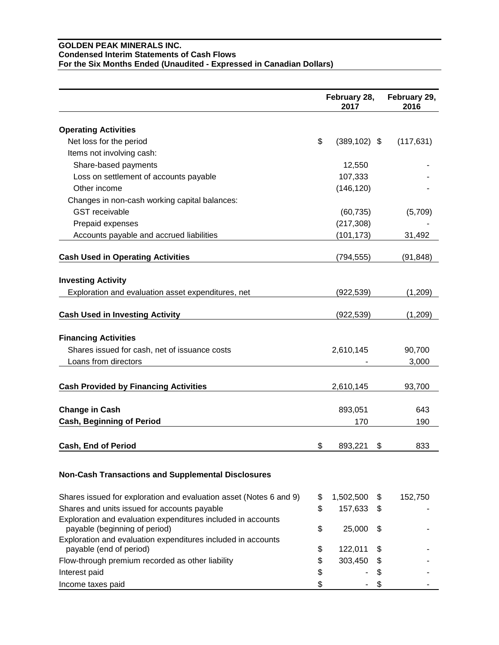### **GOLDEN PEAK MINERALS INC. Condensed Interim Statements of Cash Flows For the Six Months Ended (Unaudited - Expressed in Canadian Dollars)**

|                                                                    | February 28,<br>2017 | February 29,<br>2016 |
|--------------------------------------------------------------------|----------------------|----------------------|
| <b>Operating Activities</b>                                        |                      |                      |
|                                                                    | \$                   |                      |
| Net loss for the period                                            | $(389, 102)$ \$      | (117, 631)           |
| Items not involving cash:                                          |                      |                      |
| Share-based payments                                               | 12,550               |                      |
| Loss on settlement of accounts payable                             | 107,333              |                      |
| Other income                                                       | (146, 120)           |                      |
| Changes in non-cash working capital balances:                      |                      |                      |
| <b>GST</b> receivable                                              | (60, 735)            | (5,709)              |
| Prepaid expenses                                                   | (217, 308)           |                      |
| Accounts payable and accrued liabilities                           | (101, 173)           | 31,492               |
| <b>Cash Used in Operating Activities</b>                           | (794, 555)           | (91, 848)            |
| <b>Investing Activity</b>                                          |                      |                      |
| Exploration and evaluation asset expenditures, net                 | (922, 539)           | (1,209)              |
|                                                                    |                      |                      |
| <b>Cash Used in Investing Activity</b>                             | (922, 539)           | (1,209)              |
|                                                                    |                      |                      |
| <b>Financing Activities</b>                                        |                      |                      |
| Shares issued for cash, net of issuance costs                      | 2,610,145            | 90,700               |
| Loans from directors                                               |                      | 3,000                |
| <b>Cash Provided by Financing Activities</b>                       | 2,610,145            | 93,700               |
|                                                                    |                      |                      |
| <b>Change in Cash</b>                                              | 893,051              | 643                  |
| <b>Cash, Beginning of Period</b>                                   | 170                  | 190                  |
| <b>Cash, End of Period</b>                                         | \$<br>893,221        | \$<br>833            |
|                                                                    |                      |                      |
| <b>Non-Cash Transactions and Supplemental Disclosures</b>          |                      |                      |
| Shares issued for exploration and evaluation asset (Notes 6 and 9) | \$<br>1,502,500      | \$<br>152,750        |
| Shares and units issued for accounts payable                       | \$<br>157,633        | \$                   |
| Exploration and evaluation expenditures included in accounts       |                      |                      |
| payable (beginning of period)                                      | \$<br>25,000         | \$                   |
| Exploration and evaluation expenditures included in accounts       |                      |                      |
| payable (end of period)                                            | \$<br>122,011        | \$                   |
| Flow-through premium recorded as other liability                   | \$<br>303,450        | \$                   |
| Interest paid                                                      | \$                   | \$                   |
| Income taxes paid                                                  | \$                   | \$                   |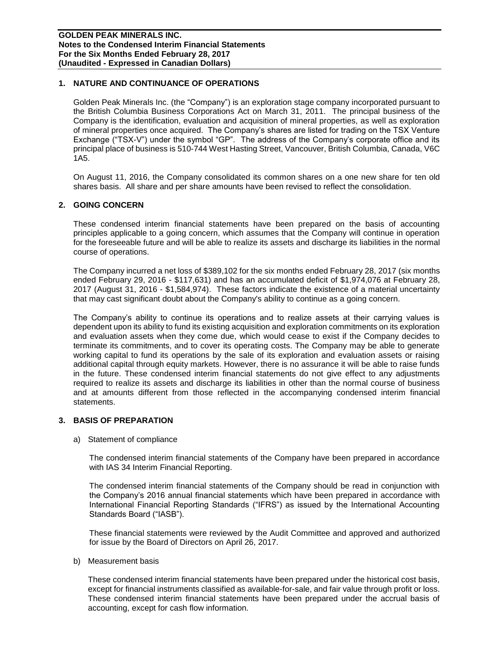## **1. NATURE AND CONTINUANCE OF OPERATIONS**

Golden Peak Minerals Inc. (the "Company") is an exploration stage company incorporated pursuant to the British Columbia Business Corporations Act on March 31, 2011. The principal business of the Company is the identification, evaluation and acquisition of mineral properties, as well as exploration of mineral properties once acquired. The Company's shares are listed for trading on the TSX Venture Exchange ("TSX-V") under the symbol "GP". The address of the Company's corporate office and its principal place of business is 510-744 West Hasting Street, Vancouver, British Columbia, Canada, V6C 1A5.

On August 11, 2016, the Company consolidated its common shares on a one new share for ten old shares basis. All share and per share amounts have been revised to reflect the consolidation.

#### **2. GOING CONCERN**

These condensed interim financial statements have been prepared on the basis of accounting principles applicable to a going concern, which assumes that the Company will continue in operation for the foreseeable future and will be able to realize its assets and discharge its liabilities in the normal course of operations.

The Company incurred a net loss of \$389,102 for the six months ended February 28, 2017 (six months ended February 29, 2016 - \$117,631) and has an accumulated deficit of \$1,974,076 at February 28, 2017 (August 31, 2016 - \$1,584,974). These factors indicate the existence of a material uncertainty that may cast significant doubt about the Company's ability to continue as a going concern.

The Company's ability to continue its operations and to realize assets at their carrying values is dependent upon its ability to fund its existing acquisition and exploration commitments on its exploration and evaluation assets when they come due, which would cease to exist if the Company decides to terminate its commitments, and to cover its operating costs. The Company may be able to generate working capital to fund its operations by the sale of its exploration and evaluation assets or raising additional capital through equity markets. However, there is no assurance it will be able to raise funds in the future. These condensed interim financial statements do not give effect to any adjustments required to realize its assets and discharge its liabilities in other than the normal course of business and at amounts different from those reflected in the accompanying condensed interim financial statements.

#### **3. BASIS OF PREPARATION**

a) Statement of compliance

The condensed interim financial statements of the Company have been prepared in accordance with IAS 34 Interim Financial Reporting.

The condensed interim financial statements of the Company should be read in conjunction with the Company's 2016 annual financial statements which have been prepared in accordance with International Financial Reporting Standards ("IFRS") as issued by the International Accounting Standards Board ("IASB").

These financial statements were reviewed by the Audit Committee and approved and authorized for issue by the Board of Directors on April 26, 2017.

b) Measurement basis

These condensed interim financial statements have been prepared under the historical cost basis, except for financial instruments classified as available-for-sale, and fair value through profit or loss. These condensed interim financial statements have been prepared under the accrual basis of accounting, except for cash flow information.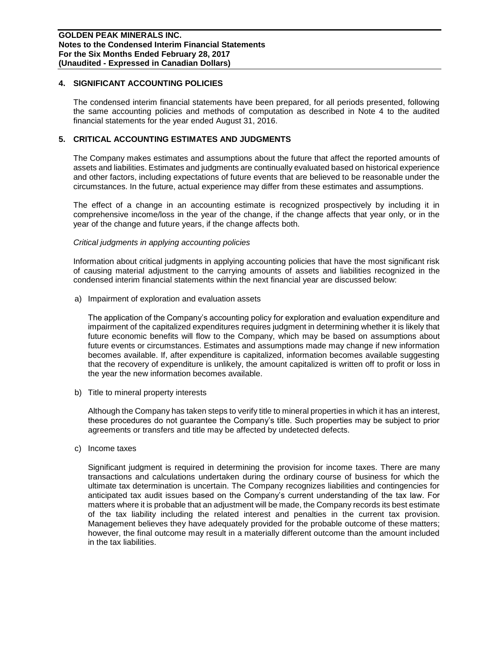### **4. SIGNIFICANT ACCOUNTING POLICIES**

The condensed interim financial statements have been prepared, for all periods presented, following the same accounting policies and methods of computation as described in Note 4 to the audited financial statements for the year ended August 31, 2016.

## **5. CRITICAL ACCOUNTING ESTIMATES AND JUDGMENTS**

The Company makes estimates and assumptions about the future that affect the reported amounts of assets and liabilities. Estimates and judgments are continually evaluated based on historical experience and other factors, including expectations of future events that are believed to be reasonable under the circumstances. In the future, actual experience may differ from these estimates and assumptions.

The effect of a change in an accounting estimate is recognized prospectively by including it in comprehensive income/loss in the year of the change, if the change affects that year only, or in the year of the change and future years, if the change affects both.

#### *Critical judgments in applying accounting policies*

Information about critical judgments in applying accounting policies that have the most significant risk of causing material adjustment to the carrying amounts of assets and liabilities recognized in the condensed interim financial statements within the next financial year are discussed below:

a) Impairment of exploration and evaluation assets

The application of the Company's accounting policy for exploration and evaluation expenditure and impairment of the capitalized expenditures requires judgment in determining whether it is likely that future economic benefits will flow to the Company, which may be based on assumptions about future events or circumstances. Estimates and assumptions made may change if new information becomes available. If, after expenditure is capitalized, information becomes available suggesting that the recovery of expenditure is unlikely, the amount capitalized is written off to profit or loss in the year the new information becomes available.

b) Title to mineral property interests

Although the Company has taken steps to verify title to mineral properties in which it has an interest, these procedures do not guarantee the Company's title. Such properties may be subject to prior agreements or transfers and title may be affected by undetected defects.

c) Income taxes

Significant judgment is required in determining the provision for income taxes. There are many transactions and calculations undertaken during the ordinary course of business for which the ultimate tax determination is uncertain. The Company recognizes liabilities and contingencies for anticipated tax audit issues based on the Company's current understanding of the tax law. For matters where it is probable that an adjustment will be made, the Company records its best estimate of the tax liability including the related interest and penalties in the current tax provision. Management believes they have adequately provided for the probable outcome of these matters; however, the final outcome may result in a materially different outcome than the amount included in the tax liabilities.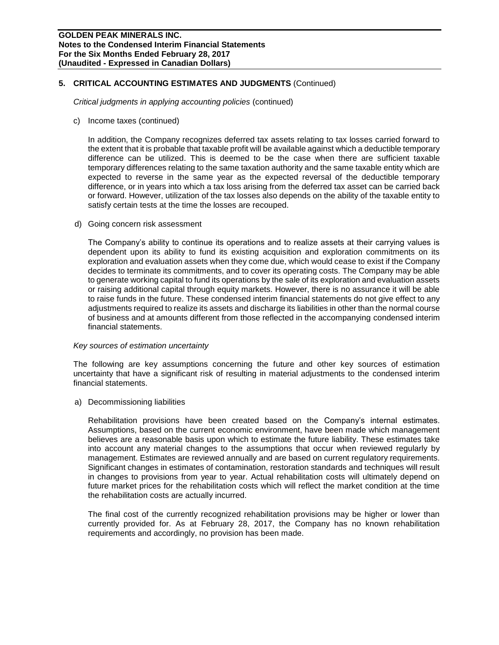## **5. CRITICAL ACCOUNTING ESTIMATES AND JUDGMENTS** (Continued)

*Critical judgments in applying accounting policies* (continued)

c) Income taxes (continued)

In addition, the Company recognizes deferred tax assets relating to tax losses carried forward to the extent that it is probable that taxable profit will be available against which a deductible temporary difference can be utilized. This is deemed to be the case when there are sufficient taxable temporary differences relating to the same taxation authority and the same taxable entity which are expected to reverse in the same year as the expected reversal of the deductible temporary difference, or in years into which a tax loss arising from the deferred tax asset can be carried back or forward. However, utilization of the tax losses also depends on the ability of the taxable entity to satisfy certain tests at the time the losses are recouped.

d) Going concern risk assessment

The Company's ability to continue its operations and to realize assets at their carrying values is dependent upon its ability to fund its existing acquisition and exploration commitments on its exploration and evaluation assets when they come due, which would cease to exist if the Company decides to terminate its commitments, and to cover its operating costs. The Company may be able to generate working capital to fund its operations by the sale of its exploration and evaluation assets or raising additional capital through equity markets. However, there is no assurance it will be able to raise funds in the future. These condensed interim financial statements do not give effect to any adjustments required to realize its assets and discharge its liabilities in other than the normal course of business and at amounts different from those reflected in the accompanying condensed interim financial statements.

#### *Key sources of estimation uncertainty*

The following are key assumptions concerning the future and other key sources of estimation uncertainty that have a significant risk of resulting in material adjustments to the condensed interim financial statements.

a) Decommissioning liabilities

Rehabilitation provisions have been created based on the Company's internal estimates. Assumptions, based on the current economic environment, have been made which management believes are a reasonable basis upon which to estimate the future liability. These estimates take into account any material changes to the assumptions that occur when reviewed regularly by management. Estimates are reviewed annually and are based on current regulatory requirements. Significant changes in estimates of contamination, restoration standards and techniques will result in changes to provisions from year to year. Actual rehabilitation costs will ultimately depend on future market prices for the rehabilitation costs which will reflect the market condition at the time the rehabilitation costs are actually incurred.

The final cost of the currently recognized rehabilitation provisions may be higher or lower than currently provided for. As at February 28, 2017, the Company has no known rehabilitation requirements and accordingly, no provision has been made.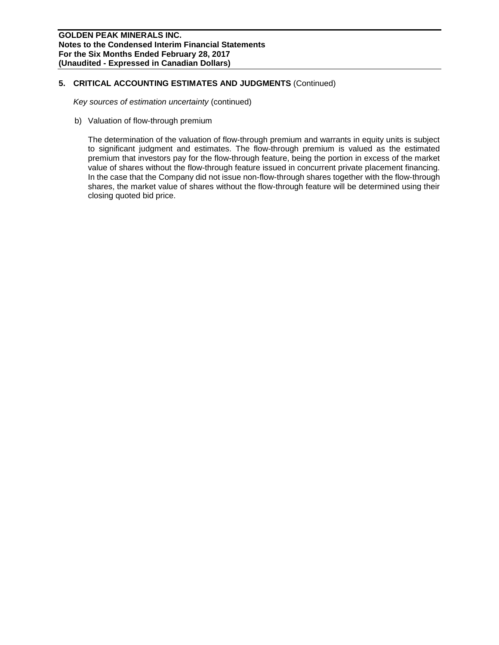## **5. CRITICAL ACCOUNTING ESTIMATES AND JUDGMENTS** (Continued)

*Key sources of estimation uncertainty* (continued)

b) Valuation of flow-through premium

The determination of the valuation of flow-through premium and warrants in equity units is subject to significant judgment and estimates. The flow-through premium is valued as the estimated premium that investors pay for the flow-through feature, being the portion in excess of the market value of shares without the flow-through feature issued in concurrent private placement financing. In the case that the Company did not issue non-flow-through shares together with the flow-through shares, the market value of shares without the flow-through feature will be determined using their closing quoted bid price.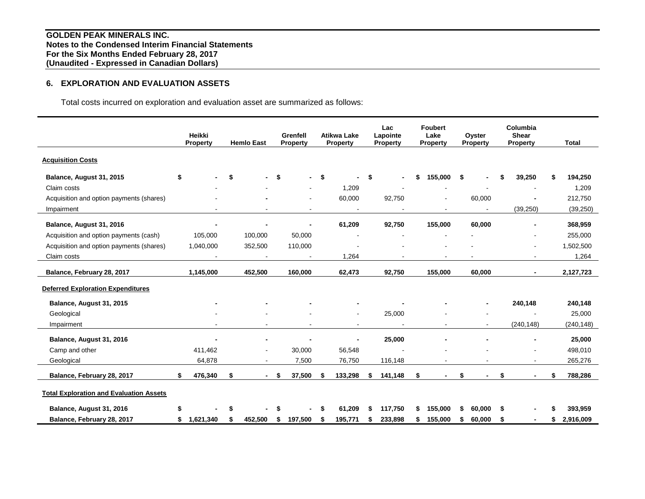## **6. EXPLORATION AND EVALUATION ASSETS**

Total costs incurred on exploration and evaluation asset are summarized as follows:

|                                                | Heikki<br><b>Property</b> | <b>Hemlo East</b>        |     | Grenfell<br><b>Property</b> |      | <b>Atikwa Lake</b><br>Property | Lac<br>Lapointe<br><b>Property</b> |    | <b>Foubert</b><br>Lake<br><b>Property</b> |    | Oyster<br>Property | Columbia<br><b>Shear</b><br><b>Property</b> |    | <b>Total</b> |
|------------------------------------------------|---------------------------|--------------------------|-----|-----------------------------|------|--------------------------------|------------------------------------|----|-------------------------------------------|----|--------------------|---------------------------------------------|----|--------------|
| <b>Acquisition Costs</b>                       |                           |                          |     |                             |      |                                |                                    |    |                                           |    |                    |                                             |    |              |
| Balance, August 31, 2015                       | \$                        | \$                       | -\$ |                             | $-5$ |                                | \$<br>$\blacksquare$               | \$ | 155,000                                   | \$ |                    | 39,250                                      |    | 194,250      |
| Claim costs                                    |                           |                          |     |                             |      | 1,209                          |                                    |    |                                           |    |                    |                                             |    | 1,209        |
| Acquisition and option payments (shares)       |                           |                          |     | $\blacksquare$              |      | 60,000                         | 92,750                             |    |                                           |    | 60,000             |                                             |    | 212,750      |
| Impairment                                     |                           |                          |     |                             |      |                                |                                    |    |                                           |    |                    | (39, 250)                                   |    | (39, 250)    |
| Balance, August 31, 2016                       |                           |                          |     |                             |      | 61,209                         | 92,750                             |    | 155,000                                   |    | 60,000             |                                             |    | 368,959      |
| Acquisition and option payments (cash)         | 105,000                   | 100,000                  |     | 50,000                      |      |                                |                                    |    |                                           |    |                    |                                             |    | 255,000      |
| Acquisition and option payments (shares)       | 1,040,000                 | 352,500                  |     | 110,000                     |      |                                |                                    |    |                                           |    |                    |                                             |    | 1,502,500    |
| Claim costs                                    |                           | $\overline{\phantom{a}}$ |     | $\sim$                      |      | 1,264                          |                                    |    | $\overline{\phantom{a}}$                  |    |                    | $\sim$                                      |    | 1,264        |
| Balance, February 28, 2017                     | 1,145,000                 | 452,500                  |     | 160,000                     |      | 62,473                         | 92,750                             |    | 155,000                                   |    | 60,000             |                                             |    | 2,127,723    |
| <b>Deferred Exploration Expenditures</b>       |                           |                          |     |                             |      |                                |                                    |    |                                           |    |                    |                                             |    |              |
| Balance, August 31, 2015                       |                           |                          |     |                             |      |                                |                                    |    |                                           |    |                    | 240,148                                     |    | 240,148      |
| Geological                                     |                           |                          |     |                             |      | ٠                              | 25,000                             |    |                                           |    |                    |                                             |    | 25,000       |
| Impairment                                     |                           |                          |     |                             |      | $\blacksquare$                 | $\blacksquare$                     |    |                                           |    | ٠                  | (240, 148)                                  |    | (240, 148)   |
| Balance, August 31, 2016                       |                           |                          |     |                             |      |                                | 25,000                             |    |                                           |    |                    |                                             |    | 25,000       |
| Camp and other                                 | 411,462                   | $\blacksquare$           |     | 30,000                      |      | 56,548                         |                                    |    |                                           |    |                    |                                             |    | 498,010      |
| Geological                                     | 64,878                    | $\blacksquare$           |     | 7,500                       |      | 76,750                         | 116,148                            |    |                                           |    |                    | $\sim$                                      |    | 265,276      |
| Balance, February 28, 2017                     | 476,340                   | \$<br>$\blacksquare$     | -\$ | 37,500                      | \$   | 133,298                        | \$<br>141,148                      | \$ | ۰                                         | \$ |                    | \$<br>$\blacksquare$                        | \$ | 788,286      |
| <b>Total Exploration and Evaluation Assets</b> |                           |                          |     |                             |      |                                |                                    |    |                                           |    |                    |                                             |    |              |
| Balance, August 31, 2016                       |                           |                          |     |                             |      | 61.209                         | 117.750                            | S  | 155.000                                   | S  | 60.000             | \$                                          |    | 393,959      |
| Balance, February 28, 2017                     | 1,621,340                 | 452,500                  | S   | 197,500                     | \$   | 195,771                        | 233,898                            | S  | 155,000                                   | \$ | 60,000             | \$                                          | S  | 2,916,009    |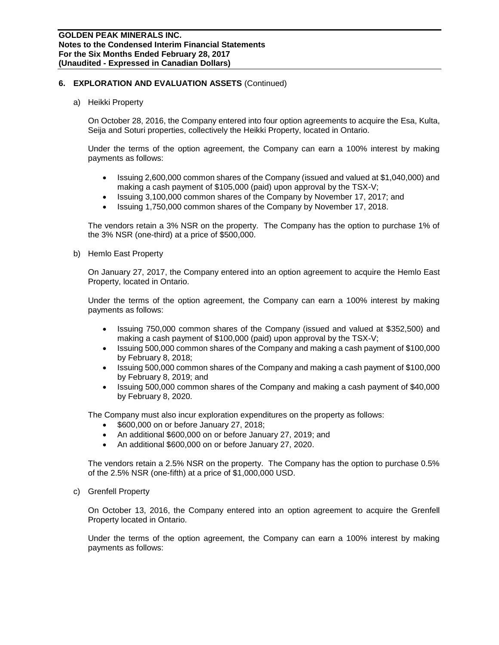## **6. EXPLORATION AND EVALUATION ASSETS** (Continued)

a) Heikki Property

On October 28, 2016, the Company entered into four option agreements to acquire the Esa, Kulta, Seija and Soturi properties, collectively the Heikki Property, located in Ontario.

Under the terms of the option agreement, the Company can earn a 100% interest by making payments as follows:

- Issuing 2,600,000 common shares of the Company (issued and valued at \$1,040,000) and making a cash payment of \$105,000 (paid) upon approval by the TSX-V;
- Issuing 3,100,000 common shares of the Company by November 17, 2017; and
- Issuing 1,750,000 common shares of the Company by November 17, 2018.

The vendors retain a 3% NSR on the property. The Company has the option to purchase 1% of the 3% NSR (one-third) at a price of \$500,000.

b) Hemlo East Property

On January 27, 2017, the Company entered into an option agreement to acquire the Hemlo East Property, located in Ontario.

Under the terms of the option agreement, the Company can earn a 100% interest by making payments as follows:

- Issuing 750,000 common shares of the Company (issued and valued at \$352,500) and making a cash payment of \$100,000 (paid) upon approval by the TSX-V;
- Issuing 500,000 common shares of the Company and making a cash payment of \$100,000 by February 8, 2018;
- Issuing 500,000 common shares of the Company and making a cash payment of \$100,000 by February 8, 2019; and
- Issuing 500,000 common shares of the Company and making a cash payment of \$40,000 by February 8, 2020.

The Company must also incur exploration expenditures on the property as follows:

- \$600,000 on or before January 27, 2018;
- An additional \$600,000 on or before January 27, 2019; and
- An additional \$600,000 on or before January 27, 2020.

The vendors retain a 2.5% NSR on the property. The Company has the option to purchase 0.5% of the 2.5% NSR (one-fifth) at a price of \$1,000,000 USD.

c) Grenfell Property

On October 13, 2016, the Company entered into an option agreement to acquire the Grenfell Property located in Ontario.

Under the terms of the option agreement, the Company can earn a 100% interest by making payments as follows: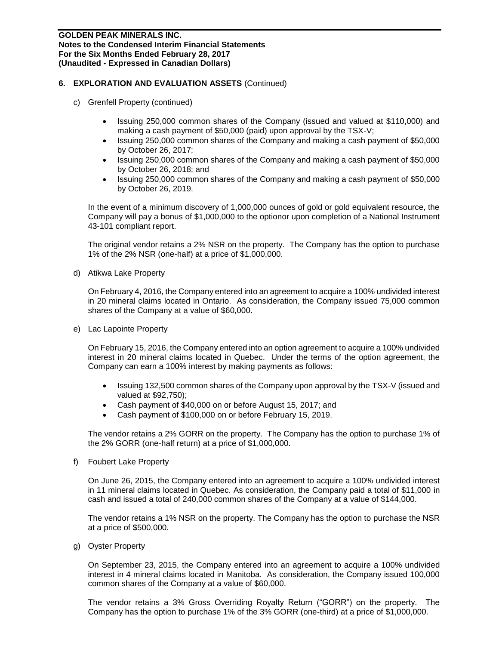## **6. EXPLORATION AND EVALUATION ASSETS** (Continued)

- c) Grenfell Property (continued)
	- Issuing 250,000 common shares of the Company (issued and valued at \$110,000) and making a cash payment of \$50,000 (paid) upon approval by the TSX-V;
	- Issuing 250,000 common shares of the Company and making a cash payment of \$50,000 by October 26, 2017;
	- Issuing 250,000 common shares of the Company and making a cash payment of \$50,000 by October 26, 2018; and
	- Issuing 250,000 common shares of the Company and making a cash payment of \$50,000 by October 26, 2019.

In the event of a minimum discovery of 1,000,000 ounces of gold or gold equivalent resource, the Company will pay a bonus of \$1,000,000 to the optionor upon completion of a National Instrument 43-101 compliant report.

The original vendor retains a 2% NSR on the property. The Company has the option to purchase 1% of the 2% NSR (one-half) at a price of \$1,000,000.

d) Atikwa Lake Property

On February 4, 2016, the Company entered into an agreement to acquire a 100% undivided interest in 20 mineral claims located in Ontario. As consideration, the Company issued 75,000 common shares of the Company at a value of \$60,000.

e) Lac Lapointe Property

On February 15, 2016, the Company entered into an option agreement to acquire a 100% undivided interest in 20 mineral claims located in Quebec. Under the terms of the option agreement, the Company can earn a 100% interest by making payments as follows:

- Issuing 132,500 common shares of the Company upon approval by the TSX-V (issued and valued at \$92,750);
- Cash payment of \$40,000 on or before August 15, 2017; and
- Cash payment of \$100,000 on or before February 15, 2019.

The vendor retains a 2% GORR on the property. The Company has the option to purchase 1% of the 2% GORR (one-half return) at a price of \$1,000,000.

f) Foubert Lake Property

On June 26, 2015, the Company entered into an agreement to acquire a 100% undivided interest in 11 mineral claims located in Quebec. As consideration, the Company paid a total of \$11,000 in cash and issued a total of 240,000 common shares of the Company at a value of \$144,000.

The vendor retains a 1% NSR on the property. The Company has the option to purchase the NSR at a price of \$500,000.

g) Oyster Property

On September 23, 2015, the Company entered into an agreement to acquire a 100% undivided interest in 4 mineral claims located in Manitoba. As consideration, the Company issued 100,000 common shares of the Company at a value of \$60,000.

The vendor retains a 3% Gross Overriding Royalty Return ("GORR") on the property. The Company has the option to purchase 1% of the 3% GORR (one-third) at a price of \$1,000,000.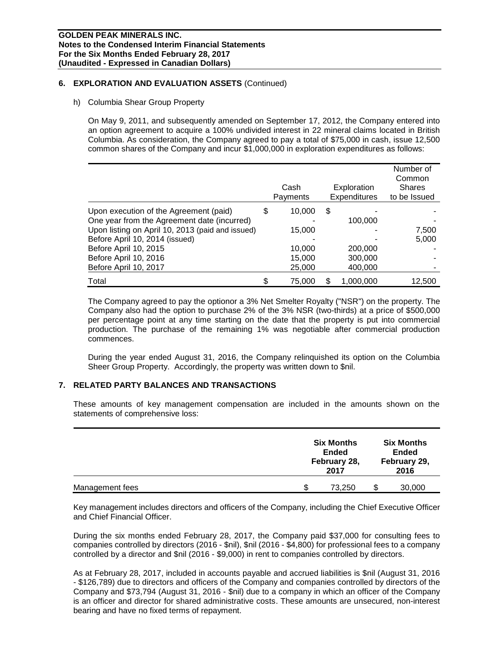## **6. EXPLORATION AND EVALUATION ASSETS** (Continued)

h) Columbia Shear Group Property

On May 9, 2011, and subsequently amended on September 17, 2012, the Company entered into an option agreement to acquire a 100% undivided interest in 22 mineral claims located in British Columbia. As consideration, the Company agreed to pay a total of \$75,000 in cash, issue 12,500 common shares of the Company and incur \$1,000,000 in exploration expenditures as follows:

|                                                  | Cash<br>Payments | Exploration<br>Expenditures | Number of<br>Common<br><b>Shares</b><br>to be Issued |
|--------------------------------------------------|------------------|-----------------------------|------------------------------------------------------|
| Upon execution of the Agreement (paid)           | \$<br>10,000     | \$                          |                                                      |
| One year from the Agreement date (incurred)      |                  | 100,000                     |                                                      |
| Upon listing on April 10, 2013 (paid and issued) | 15,000           |                             | 7,500                                                |
| Before April 10, 2014 (issued)                   |                  |                             | 5,000                                                |
| Before April 10, 2015                            | 10,000           | 200,000                     |                                                      |
| Before April 10, 2016                            | 15,000           | 300,000                     |                                                      |
| Before April 10, 2017                            | 25,000           | 400,000                     |                                                      |
| Total                                            | \$<br>75,000     | 1,000,000                   | 12,500                                               |

The Company agreed to pay the optionor a 3% Net Smelter Royalty ("NSR") on the property. The Company also had the option to purchase 2% of the 3% NSR (two-thirds) at a price of \$500,000 per percentage point at any time starting on the date that the property is put into commercial production. The purchase of the remaining 1% was negotiable after commercial production commences.

During the year ended August 31, 2016, the Company relinquished its option on the Columbia Sheer Group Property. Accordingly, the property was written down to \$nil.

## **7. RELATED PARTY BALANCES AND TRANSACTIONS**

These amounts of key management compensation are included in the amounts shown on the statements of comprehensive loss:

|                 | <b>Six Months</b><br><b>Ended</b><br>February 28,<br>2017 | <b>Six Months</b><br><b>Ended</b><br>February 29,<br>2016 |
|-----------------|-----------------------------------------------------------|-----------------------------------------------------------|
| Management fees | \$<br>73,250                                              | 30,000                                                    |

Key management includes directors and officers of the Company, including the Chief Executive Officer and Chief Financial Officer.

During the six months ended February 28, 2017, the Company paid \$37,000 for consulting fees to companies controlled by directors (2016 - \$nil), \$nil (2016 - \$4,800) for professional fees to a company controlled by a director and \$nil (2016 - \$9,000) in rent to companies controlled by directors.

As at February 28, 2017, included in accounts payable and accrued liabilities is \$nil (August 31, 2016 - \$126,789) due to directors and officers of the Company and companies controlled by directors of the Company and \$73,794 (August 31, 2016 - \$nil) due to a company in which an officer of the Company is an officer and director for shared administrative costs. These amounts are unsecured, non-interest bearing and have no fixed terms of repayment.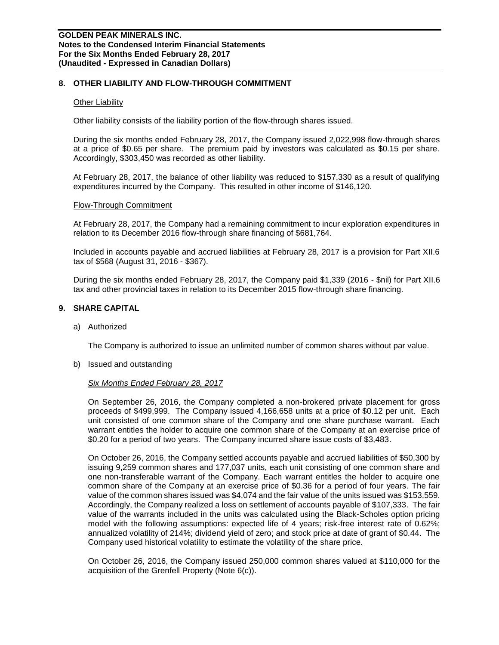### **8. OTHER LIABILITY AND FLOW-THROUGH COMMITMENT**

#### Other Liability

Other liability consists of the liability portion of the flow-through shares issued.

During the six months ended February 28, 2017, the Company issued 2,022,998 flow-through shares at a price of \$0.65 per share. The premium paid by investors was calculated as \$0.15 per share. Accordingly, \$303,450 was recorded as other liability.

At February 28, 2017, the balance of other liability was reduced to \$157,330 as a result of qualifying expenditures incurred by the Company. This resulted in other income of \$146,120.

#### Flow-Through Commitment

At February 28, 2017, the Company had a remaining commitment to incur exploration expenditures in relation to its December 2016 flow-through share financing of \$681,764.

Included in accounts payable and accrued liabilities at February 28, 2017 is a provision for Part XII.6 tax of \$568 (August 31, 2016 - \$367).

During the six months ended February 28, 2017, the Company paid \$1,339 (2016 - \$nil) for Part XII.6 tax and other provincial taxes in relation to its December 2015 flow-through share financing.

### **9. SHARE CAPITAL**

a) Authorized

The Company is authorized to issue an unlimited number of common shares without par value.

b) Issued and outstanding

#### *Six Months Ended February 28, 2017*

On September 26, 2016, the Company completed a non-brokered private placement for gross proceeds of \$499,999. The Company issued 4,166,658 units at a price of \$0.12 per unit. Each unit consisted of one common share of the Company and one share purchase warrant. Each warrant entitles the holder to acquire one common share of the Company at an exercise price of \$0.20 for a period of two years. The Company incurred share issue costs of \$3,483.

On October 26, 2016, the Company settled accounts payable and accrued liabilities of \$50,300 by issuing 9,259 common shares and 177,037 units, each unit consisting of one common share and one non-transferable warrant of the Company. Each warrant entitles the holder to acquire one common share of the Company at an exercise price of \$0.36 for a period of four years. The fair value of the common shares issued was \$4,074 and the fair value of the units issued was \$153,559. Accordingly, the Company realized a loss on settlement of accounts payable of \$107,333. The fair value of the warrants included in the units was calculated using the Black-Scholes option pricing model with the following assumptions: expected life of 4 years; risk-free interest rate of 0.62%; annualized volatility of 214%; dividend yield of zero; and stock price at date of grant of \$0.44. The Company used historical volatility to estimate the volatility of the share price.

On October 26, 2016, the Company issued 250,000 common shares valued at \$110,000 for the acquisition of the Grenfell Property (Note 6(c)).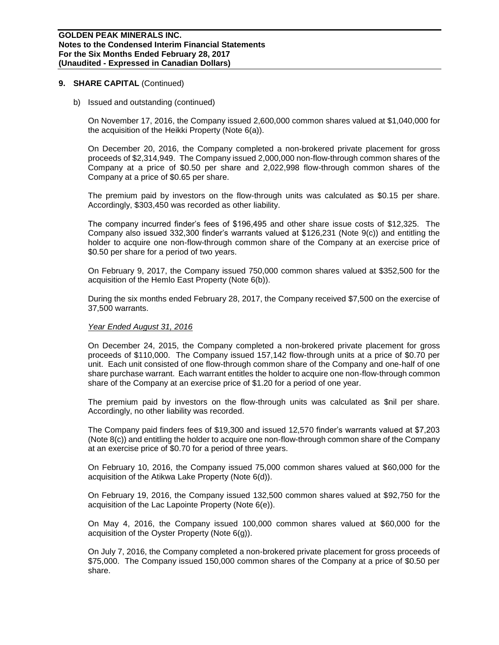b) Issued and outstanding (continued)

On November 17, 2016, the Company issued 2,600,000 common shares valued at \$1,040,000 for the acquisition of the Heikki Property (Note 6(a)).

On December 20, 2016, the Company completed a non-brokered private placement for gross proceeds of \$2,314,949. The Company issued 2,000,000 non-flow-through common shares of the Company at a price of \$0.50 per share and 2,022,998 flow-through common shares of the Company at a price of \$0.65 per share.

The premium paid by investors on the flow-through units was calculated as \$0.15 per share. Accordingly, \$303,450 was recorded as other liability.

The company incurred finder's fees of \$196,495 and other share issue costs of \$12,325. The Company also issued 332,300 finder's warrants valued at \$126,231 (Note 9(c)) and entitling the holder to acquire one non-flow-through common share of the Company at an exercise price of \$0.50 per share for a period of two years.

On February 9, 2017, the Company issued 750,000 common shares valued at \$352,500 for the acquisition of the Hemlo East Property (Note 6(b)).

During the six months ended February 28, 2017, the Company received \$7,500 on the exercise of 37,500 warrants.

#### *Year Ended August 31, 2016*

On December 24, 2015, the Company completed a non-brokered private placement for gross proceeds of \$110,000. The Company issued 157,142 flow-through units at a price of \$0.70 per unit. Each unit consisted of one flow-through common share of the Company and one-half of one share purchase warrant. Each warrant entitles the holder to acquire one non-flow-through common share of the Company at an exercise price of \$1.20 for a period of one year.

The premium paid by investors on the flow-through units was calculated as \$nil per share. Accordingly, no other liability was recorded.

The Company paid finders fees of \$19,300 and issued 12,570 finder's warrants valued at \$7,203 (Note 8(c)) and entitling the holder to acquire one non-flow-through common share of the Company at an exercise price of \$0.70 for a period of three years.

On February 10, 2016, the Company issued 75,000 common shares valued at \$60,000 for the acquisition of the Atikwa Lake Property (Note 6(d)).

On February 19, 2016, the Company issued 132,500 common shares valued at \$92,750 for the acquisition of the Lac Lapointe Property (Note 6(e)).

On May 4, 2016, the Company issued 100,000 common shares valued at \$60,000 for the acquisition of the Oyster Property (Note 6(g)).

On July 7, 2016, the Company completed a non-brokered private placement for gross proceeds of \$75,000. The Company issued 150,000 common shares of the Company at a price of \$0.50 per share.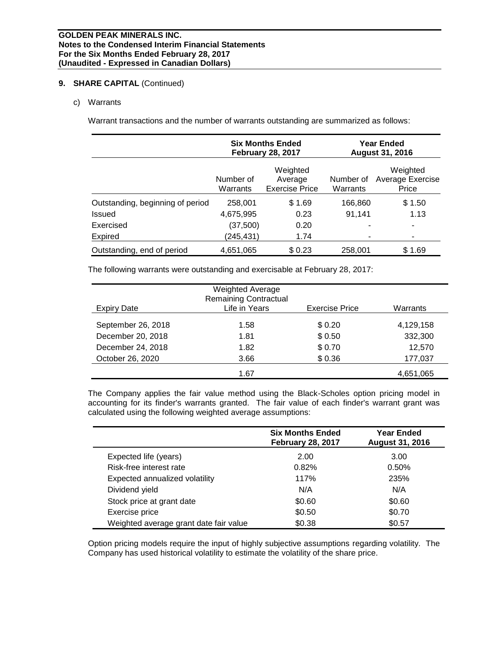c) Warrants

Warrant transactions and the number of warrants outstanding are summarized as follows:

|                                  |                       | <b>Six Months Ended</b><br><b>February 28, 2017</b> |                       | <b>Year Ended</b><br><b>August 31, 2016</b> |  |  |
|----------------------------------|-----------------------|-----------------------------------------------------|-----------------------|---------------------------------------------|--|--|
|                                  | Number of<br>Warrants | Weighted<br>Average<br><b>Exercise Price</b>        | Number of<br>Warrants | Weighted<br>Average Exercise<br>Price       |  |  |
| Outstanding, beginning of period | 258,001               | \$1.69                                              | 166,860               | \$1.50                                      |  |  |
| <b>Issued</b>                    | 4,675,995             | 0.23                                                | 91,141                | 1.13                                        |  |  |
| Exercised                        | (37,500)              | 0.20                                                |                       | ۰                                           |  |  |
| <b>Expired</b>                   | (245, 431)            | 1.74                                                |                       | ٠                                           |  |  |
| Outstanding, end of period       | 4,651,065             | \$0.23                                              | 258,001               | \$1.69                                      |  |  |

The following warrants were outstanding and exercisable at February 28, 2017:

| Expiry Date        | <b>Weighted Average</b><br><b>Remaining Contractual</b><br>Life in Years | <b>Exercise Price</b> | Warrants  |
|--------------------|--------------------------------------------------------------------------|-----------------------|-----------|
| September 26, 2018 | 1.58                                                                     | \$0.20                | 4,129,158 |
| December 20, 2018  | 1.81                                                                     | \$0.50                | 332,300   |
| December 24, 2018  | 1.82                                                                     | \$0.70                | 12.570    |
| October 26, 2020   | 3.66                                                                     | \$0.36                | 177,037   |
|                    | 1.67                                                                     |                       | 4,651,065 |

The Company applies the fair value method using the Black-Scholes option pricing model in accounting for its finder's warrants granted. The fair value of each finder's warrant grant was calculated using the following weighted average assumptions:

|                                        | <b>Six Months Ended</b><br><b>February 28, 2017</b> | <b>Year Ended</b><br><b>August 31, 2016</b> |
|----------------------------------------|-----------------------------------------------------|---------------------------------------------|
| Expected life (years)                  | 2.00                                                | 3.00                                        |
| Risk-free interest rate                | 0.82%                                               | 0.50%                                       |
| Expected annualized volatility         | 117%                                                | 235%                                        |
| Dividend yield                         | N/A                                                 | N/A                                         |
| Stock price at grant date              | \$0.60                                              | \$0.60                                      |
| Exercise price                         | \$0.50                                              | \$0.70                                      |
| Weighted average grant date fair value | \$0.38                                              | \$0.57                                      |

Option pricing models require the input of highly subjective assumptions regarding volatility. The Company has used historical volatility to estimate the volatility of the share price.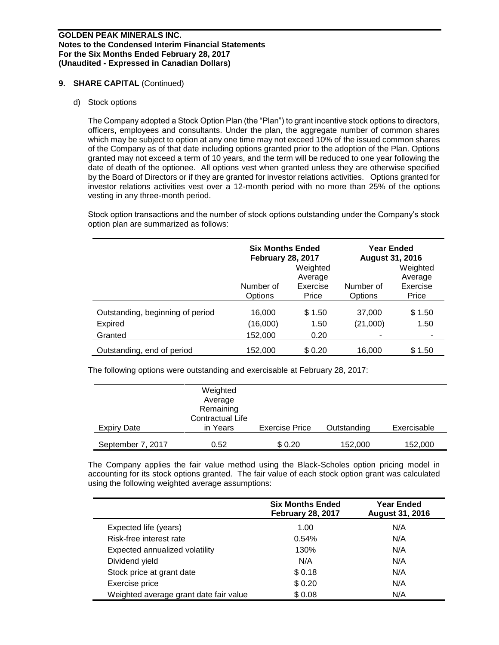### d) Stock options

The Company adopted a Stock Option Plan (the "Plan") to grant incentive stock options to directors, officers, employees and consultants. Under the plan, the aggregate number of common shares which may be subject to option at any one time may not exceed 10% of the issued common shares of the Company as of that date including options granted prior to the adoption of the Plan. Options granted may not exceed a term of 10 years, and the term will be reduced to one year following the date of death of the optionee. All options vest when granted unless they are otherwise specified by the Board of Directors or if they are granted for investor relations activities. Options granted for investor relations activities vest over a 12-month period with no more than 25% of the options vesting in any three-month period.

Stock option transactions and the number of stock options outstanding under the Company's stock option plan are summarized as follows:

|                                  | <b>Six Months Ended</b><br><b>February 28, 2017</b> |                     | <b>Year Ended</b><br><b>August 31, 2016</b> |                     |
|----------------------------------|-----------------------------------------------------|---------------------|---------------------------------------------|---------------------|
|                                  |                                                     | Weighted<br>Average |                                             | Weighted<br>Average |
|                                  | Number of<br>Options                                | Exercise<br>Price   | Number of<br>Options                        | Exercise<br>Price   |
| Outstanding, beginning of period | 16,000                                              | \$1.50              | 37,000                                      | \$1.50              |
| <b>Expired</b>                   | (16,000)                                            | 1.50                | (21,000)                                    | 1.50                |
| Granted                          | 152,000                                             | 0.20                |                                             |                     |
| Outstanding, end of period       | 152,000                                             | \$0.20              | 16,000                                      | \$1.50              |

The following options were outstanding and exercisable at February 28, 2017:

|                    | Weighted<br>Average<br>Remaining<br><b>Contractual Life</b> |                       |             |             |
|--------------------|-------------------------------------------------------------|-----------------------|-------------|-------------|
| <b>Expiry Date</b> | in Years                                                    | <b>Exercise Price</b> | Outstanding | Exercisable |
| September 7, 2017  | 0.52                                                        | \$0.20                | 152,000     | 152,000     |

The Company applies the fair value method using the Black-Scholes option pricing model in accounting for its stock options granted. The fair value of each stock option grant was calculated using the following weighted average assumptions:

|                                        | <b>Six Months Ended</b><br><b>February 28, 2017</b> | <b>Year Ended</b><br><b>August 31, 2016</b> |  |  |
|----------------------------------------|-----------------------------------------------------|---------------------------------------------|--|--|
| Expected life (years)                  | 1.00                                                | N/A                                         |  |  |
| Risk-free interest rate                | 0.54%                                               | N/A                                         |  |  |
| Expected annualized volatility         | 130%                                                | N/A                                         |  |  |
| Dividend yield                         | N/A                                                 | N/A                                         |  |  |
| Stock price at grant date              | \$0.18                                              | N/A                                         |  |  |
| Exercise price                         | \$0.20                                              | N/A                                         |  |  |
| Weighted average grant date fair value | \$0.08                                              | N/A                                         |  |  |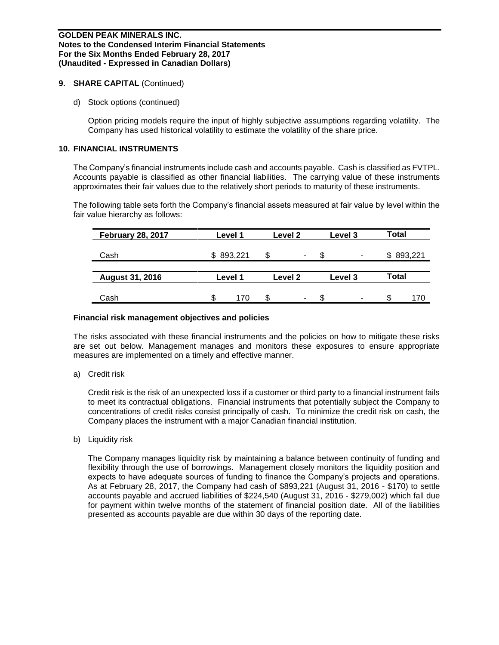d) Stock options (continued)

Option pricing models require the input of highly subjective assumptions regarding volatility. The Company has used historical volatility to estimate the volatility of the share price.

### **10. FINANCIAL INSTRUMENTS**

The Company's financial instruments include cash and accounts payable. Cash is classified as FVTPL. Accounts payable is classified as other financial liabilities. The carrying value of these instruments approximates their fair values due to the relatively short periods to maturity of these instruments.

The following table sets forth the Company's financial assets measured at fair value by level within the fair value hierarchy as follows:

| <b>February 28, 2017</b> |         | Level 1   | Level 2            |   | Level 3 |   | <b>Total</b> |           |
|--------------------------|---------|-----------|--------------------|---|---------|---|--------------|-----------|
| Cash                     |         | \$893,221 | S                  | ۰ | £.      | ٠ |              | \$893,221 |
| <b>August 31, 2016</b>   | Level 1 |           | Level <sub>2</sub> |   | Level 3 |   | Total        |           |
| Cash                     | S       | 170       | \$                 | ۰ | S.      | ۰ | £.           | 170       |

#### **Financial risk management objectives and policies**

The risks associated with these financial instruments and the policies on how to mitigate these risks are set out below. Management manages and monitors these exposures to ensure appropriate measures are implemented on a timely and effective manner.

a) Credit risk

Credit risk is the risk of an unexpected loss if a customer or third party to a financial instrument fails to meet its contractual obligations. Financial instruments that potentially subject the Company to concentrations of credit risks consist principally of cash. To minimize the credit risk on cash, the Company places the instrument with a major Canadian financial institution.

b) Liquidity risk

The Company manages liquidity risk by maintaining a balance between continuity of funding and flexibility through the use of borrowings. Management closely monitors the liquidity position and expects to have adequate sources of funding to finance the Company's projects and operations. As at February 28, 2017, the Company had cash of \$893,221 (August 31, 2016 - \$170) to settle accounts payable and accrued liabilities of \$224,540 (August 31, 2016 - \$279,002) which fall due for payment within twelve months of the statement of financial position date. All of the liabilities presented as accounts payable are due within 30 days of the reporting date.